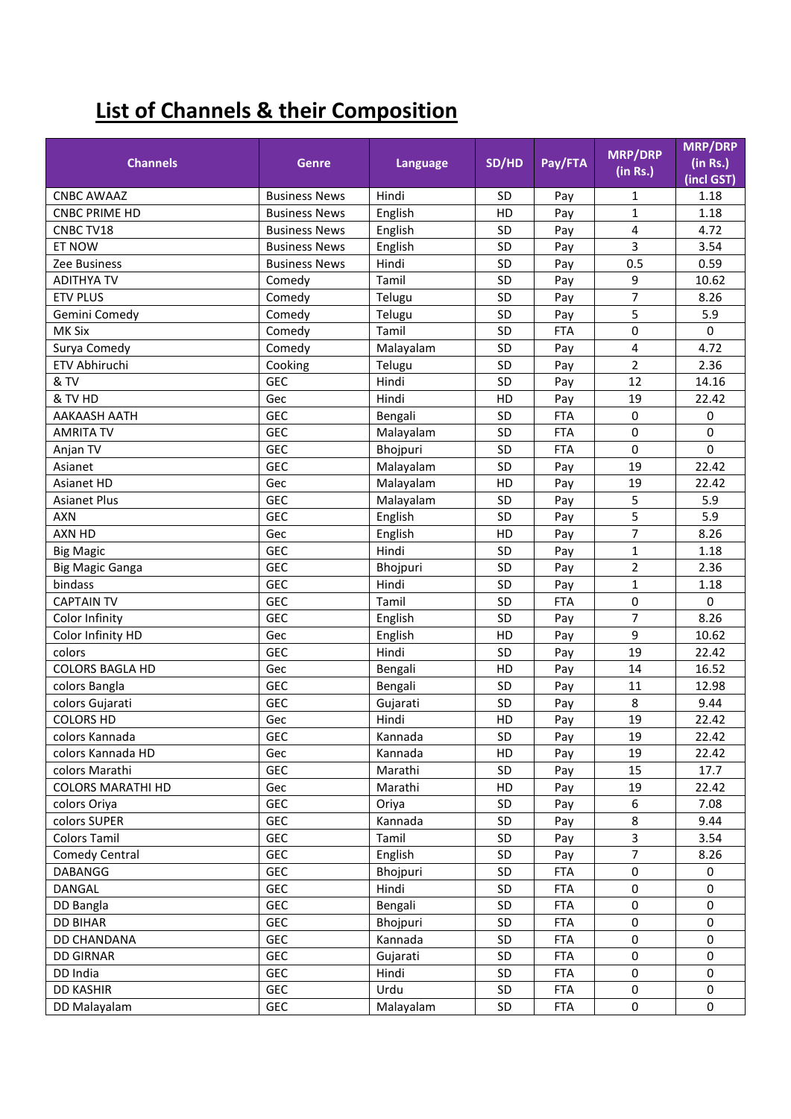## **List of Channels & their Composition**

|                          |                      |           |           |            | <b>MRP/DRP</b>   | <b>MRP/DRP</b>         |
|--------------------------|----------------------|-----------|-----------|------------|------------------|------------------------|
| <b>Channels</b>          | <b>Genre</b>         | Language  | SD/HD     | Pay/FTA    | (in Rs.)         | (in Rs.)<br>(incl GST) |
| <b>CNBC AWAAZ</b>        | <b>Business News</b> | Hindi     | <b>SD</b> | Pay        | 1                | 1.18                   |
| <b>CNBC PRIME HD</b>     | <b>Business News</b> | English   | HD        | Pay        | $\mathbf{1}$     | 1.18                   |
| CNBC TV18                | <b>Business News</b> | English   | SD        | Pay        | 4                | 4.72                   |
| ET NOW                   | <b>Business News</b> | English   | SD        | Pay        | 3                | 3.54                   |
| Zee Business             | <b>Business News</b> | Hindi     | SD        | Pay        | 0.5              | 0.59                   |
| <b>ADITHYA TV</b>        | Comedy               | Tamil     | SD        | Pay        | 9                | 10.62                  |
| <b>ETV PLUS</b>          | Comedy               | Telugu    | SD        | Pay        | 7                | 8.26                   |
| Gemini Comedy            | Comedy               | Telugu    | SD        | Pay        | 5                | 5.9                    |
| MK Six                   | Comedy               | Tamil     | SD        | <b>FTA</b> | 0                | $\mathbf 0$            |
| Surya Comedy             | Comedy               | Malayalam | SD        | Pay        | 4                | 4.72                   |
| ETV Abhiruchi            | Cooking              | Telugu    | SD        | Pay        | $\overline{2}$   | 2.36                   |
| & TV                     | GEC                  | Hindi     | SD        | Pay        | 12               | 14.16                  |
| & TV HD                  | Gec                  | Hindi     | HD        | Pay        | 19               | 22.42                  |
| <b>AAKAASH AATH</b>      | <b>GEC</b>           | Bengali   | SD        | <b>FTA</b> | $\mathbf 0$      | $\mathbf 0$            |
| <b>AMRITA TV</b>         | <b>GEC</b>           | Malayalam | SD        | <b>FTA</b> | 0                | $\mathbf 0$            |
| Anjan TV                 | <b>GEC</b>           | Bhojpuri  | SD        | <b>FTA</b> | $\mathbf 0$      | $\Omega$               |
| Asianet                  | <b>GEC</b>           | Malayalam | <b>SD</b> | Pay        | 19               | 22.42                  |
| Asianet HD               | Gec                  | Malayalam | HD        | Pay        | 19               | 22.42                  |
| <b>Asianet Plus</b>      | <b>GEC</b>           | Malayalam | <b>SD</b> | Pay        | 5                | 5.9                    |
| <b>AXN</b>               | <b>GEC</b>           | English   | SD        | Pay        | 5                | 5.9                    |
| AXN HD                   | Gec                  | English   | HD        | Pay        | $\overline{7}$   | 8.26                   |
| <b>Big Magic</b>         | <b>GEC</b>           | Hindi     | <b>SD</b> | Pay        | $\mathbf{1}$     | 1.18                   |
| <b>Big Magic Ganga</b>   | <b>GEC</b>           | Bhojpuri  | SD        | Pay        | $\overline{2}$   | 2.36                   |
| bindass                  | <b>GEC</b>           | Hindi     | SD        | Pay        | $\mathbf{1}$     | 1.18                   |
| <b>CAPTAIN TV</b>        | <b>GEC</b>           | Tamil     | SD        | <b>FTA</b> | 0                | 0                      |
| Color Infinity           | <b>GEC</b>           | English   | SD        | Pay        | 7                | 8.26                   |
| Color Infinity HD        | Gec                  | English   | HD        | Pay        | 9                | 10.62                  |
| colors                   | <b>GEC</b>           | Hindi     | SD        | Pay        | 19               | 22.42                  |
| <b>COLORS BAGLA HD</b>   | Gec                  | Bengali   | HD        | Pay        | 14               | 16.52                  |
| colors Bangla            | <b>GEC</b>           | Bengali   | SD        | Pay        | 11               | 12.98                  |
| colors Gujarati          | <b>GEC</b>           | Gujarati  | SD        | Pay        | 8                | 9.44                   |
| <b>COLORS HD</b>         | Gec                  | Hindi     | HD        | Pay        | 19               | 22.42                  |
| colors Kannada           | GEC                  | Kannada   | <b>SD</b> | Pay        | 19               | 22.42                  |
| colors Kannada HD        | Gec                  | Kannada   | HD        | Pay        | 19               | 22.42                  |
| colors Marathi           | <b>GEC</b>           | Marathi   | SD        | Pay        | 15               | 17.7                   |
| <b>COLORS MARATHI HD</b> | Gec                  | Marathi   | HD        | Pay        | 19               | 22.42                  |
| colors Oriya             | <b>GEC</b>           | Oriya     | SD        | Pay        | 6                | 7.08                   |
| colors SUPER             | <b>GEC</b>           | Kannada   | SD        | Pay        | 8                | 9.44                   |
| <b>Colors Tamil</b>      | <b>GEC</b>           | Tamil     | SD        | Pay        | 3                | 3.54                   |
| Comedy Central           | <b>GEC</b>           | English   | SD        | Pay        | $\overline{7}$   | 8.26                   |
| <b>DABANGG</b>           | <b>GEC</b>           | Bhojpuri  | SD        | <b>FTA</b> | $\pmb{0}$        | 0                      |
| DANGAL                   | <b>GEC</b>           | Hindi     | SD        | <b>FTA</b> | $\mathbf 0$      | $\mathbf 0$            |
| DD Bangla                | <b>GEC</b>           | Bengali   | SD        | <b>FTA</b> | $\mathbf 0$      | 0                      |
| <b>DD BIHAR</b>          | <b>GEC</b>           | Bhojpuri  | SD        | <b>FTA</b> | 0                | 0                      |
| DD CHANDANA              | <b>GEC</b>           | Kannada   | SD        | <b>FTA</b> | 0                | 0                      |
| <b>DD GIRNAR</b>         | <b>GEC</b>           | Gujarati  | SD        | <b>FTA</b> | 0                | 0                      |
| DD India                 | <b>GEC</b>           | Hindi     | SD        | <b>FTA</b> | $\mathbf 0$      | $\mathbf 0$            |
| <b>DD KASHIR</b>         | <b>GEC</b>           | Urdu      | SD        | <b>FTA</b> | 0                | 0                      |
| DD Malayalam             | GEC                  | Malayalam | SD        | <b>FTA</b> | $\boldsymbol{0}$ | 0                      |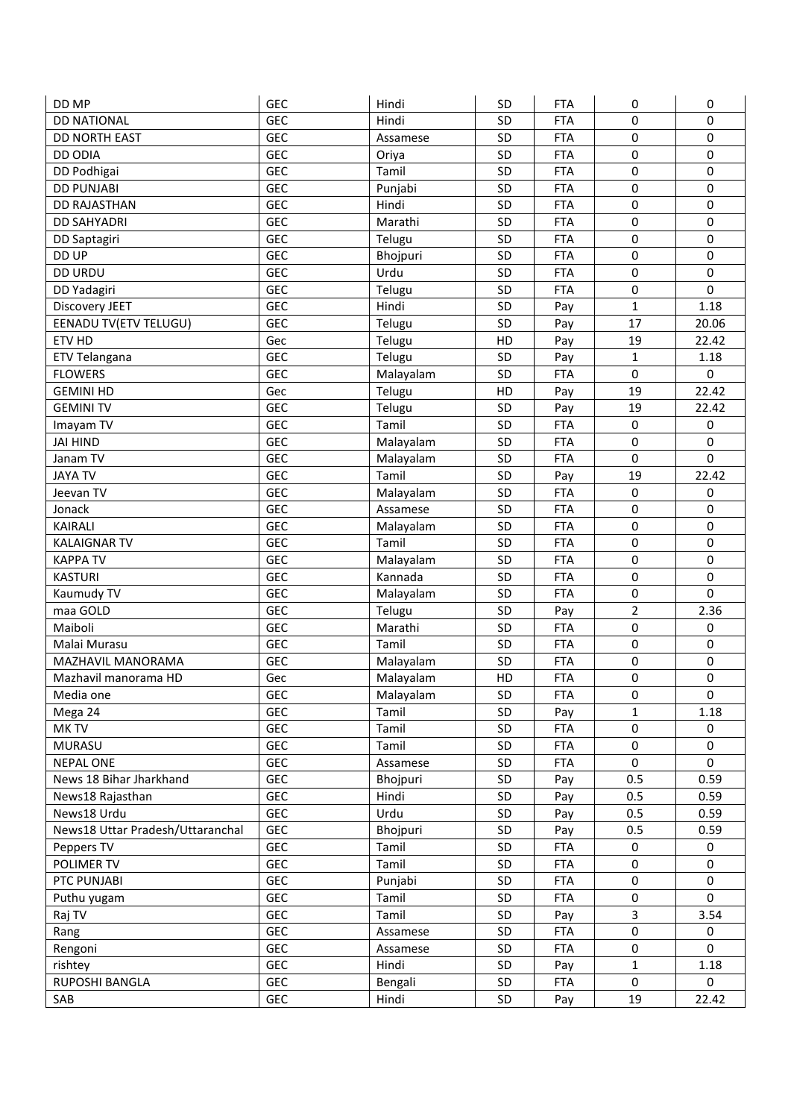| DD MP                            | <b>GEC</b> | Hindi     | <b>SD</b> | <b>FTA</b> | 0                       | 0                |
|----------------------------------|------------|-----------|-----------|------------|-------------------------|------------------|
| <b>DD NATIONAL</b>               | <b>GEC</b> | Hindi     | SD        | <b>FTA</b> | 0                       | 0                |
| DD NORTH EAST                    | <b>GEC</b> | Assamese  | SD        | <b>FTA</b> | 0                       | $\mathbf 0$      |
| <b>DD ODIA</b>                   | GEC        | Oriya     | SD        | <b>FTA</b> | 0                       | $\pmb{0}$        |
| DD Podhigai                      | GEC        | Tamil     | SD        | <b>FTA</b> | 0                       | $\mathbf 0$      |
| <b>DD PUNJABI</b>                | GEC        | Punjabi   | SD        | <b>FTA</b> | 0                       | $\pmb{0}$        |
| <b>DD RAJASTHAN</b>              | GEC        | Hindi     | SD        | <b>FTA</b> | 0                       | $\mathbf 0$      |
| <b>DD SAHYADRI</b>               | GEC        | Marathi   | SD        | <b>FTA</b> | $\mathbf 0$             | $\mathbf 0$      |
| DD Saptagiri                     | GEC        | Telugu    | SD        | <b>FTA</b> | 0                       | $\pmb{0}$        |
| DD UP                            | GEC        | Bhojpuri  | SD        | <b>FTA</b> | 0                       | 0                |
| <b>DD URDU</b>                   | GEC        | Urdu      | SD        | <b>FTA</b> | 0                       | $\mathbf 0$      |
| DD Yadagiri                      | GEC        | Telugu    | SD        | <b>FTA</b> | 0                       | $\mathbf 0$      |
| Discovery JEET                   | <b>GEC</b> | Hindi     | SD        | Pay        | $\mathbf{1}$            | 1.18             |
| EENADU TV(ETV TELUGU)            | GEC        | Telugu    | SD        | Pay        | 17                      | 20.06            |
| ETV HD                           | Gec        | Telugu    | HD        | Pay        | 19                      | 22.42            |
| ETV Telangana                    | GEC        | Telugu    | SD        | Pay        | $\mathbf{1}$            | 1.18             |
| <b>FLOWERS</b>                   | GEC        | Malayalam | SD        | <b>FTA</b> | 0                       | $\mathbf 0$      |
| <b>GEMINI HD</b>                 | Gec        | Telugu    | HD        | Pay        | 19                      | 22.42            |
| <b>GEMINITV</b>                  | GEC        | Telugu    | SD        | Pay        | 19                      | 22.42            |
| Imayam TV                        | GEC        | Tamil     | SD        | <b>FTA</b> | 0                       | $\pmb{0}$        |
| <b>JAI HIND</b>                  | <b>GEC</b> | Malayalam | SD        | <b>FTA</b> | 0                       | $\mathbf 0$      |
| Janam TV                         | GEC        | Malayalam | SD        | <b>FTA</b> | 0                       | $\mathbf 0$      |
| <b>JAYA TV</b>                   | <b>GEC</b> | Tamil     | SD        | Pay        | 19                      | 22.42            |
| Jeevan TV                        | GEC        | Malayalam | SD        | <b>FTA</b> | 0                       | $\pmb{0}$        |
| Jonack                           | <b>GEC</b> | Assamese  | SD        | <b>FTA</b> | $\mathbf 0$             | $\mathbf 0$      |
| <b>KAIRALI</b>                   | GEC        | Malayalam | SD        | <b>FTA</b> | 0                       | $\pmb{0}$        |
| <b>KALAIGNAR TV</b>              | <b>GEC</b> | Tamil     | SD        | <b>FTA</b> | 0                       | $\pmb{0}$        |
| <b>KAPPA TV</b>                  | <b>GEC</b> | Malayalam | SD        | <b>FTA</b> | 0                       | $\pmb{0}$        |
| <b>KASTURI</b>                   | <b>GEC</b> | Kannada   | SD        | <b>FTA</b> | 0                       | $\pmb{0}$        |
| Kaumudy TV                       | <b>GEC</b> | Malayalam | SD        | <b>FTA</b> | 0                       | $\mathbf 0$      |
| maa GOLD                         | <b>GEC</b> | Telugu    | SD        | Pay        | $\overline{2}$          | 2.36             |
| Maiboli                          | <b>GEC</b> | Marathi   | SD        | <b>FTA</b> | 0                       | $\mathbf 0$      |
| Malai Murasu                     | <b>GEC</b> | Tamil     | SD        | <b>FTA</b> | 0                       | $\pmb{0}$        |
| MAZHAVIL MANORAMA                | <b>GEC</b> | Malayalam | SD        | <b>FTA</b> | 0                       | $\mathbf 0$      |
| Mazhavil manorama HD             | Gec        | Malayalam | HD        | <b>FTA</b> | 0                       | $\pmb{0}$        |
| Media one                        | <b>GEC</b> | Malayalam | <b>SD</b> | <b>FTA</b> | 0                       | 0                |
| Mega 24                          | GEC        | Tamil     | SD        | Pay        | $\mathbf{1}$            | 1.18             |
| MK TV                            | <b>GEC</b> | Tamil     | SD        | <b>FTA</b> | 0                       | $\boldsymbol{0}$ |
| <b>MURASU</b>                    | <b>GEC</b> | Tamil     | SD        | <b>FTA</b> | 0                       | $\mathbf 0$      |
| <b>NEPAL ONE</b>                 | <b>GEC</b> | Assamese  | SD        | <b>FTA</b> | $\mathbf 0$             | $\mathbf 0$      |
| News 18 Bihar Jharkhand          | <b>GEC</b> | Bhojpuri  | SD        | Pay        | 0.5                     | 0.59             |
| News18 Rajasthan                 | <b>GEC</b> | Hindi     | SD        | Pay        | 0.5                     | 0.59             |
| News18 Urdu                      | <b>GEC</b> | Urdu      | SD        | Pay        | 0.5                     | 0.59             |
| News18 Uttar Pradesh/Uttaranchal | <b>GEC</b> | Bhojpuri  | SD        | Pay        | 0.5                     | 0.59             |
| Peppers TV                       | GEC        | Tamil     | SD        | <b>FTA</b> | 0                       | 0                |
| POLIMER TV                       | <b>GEC</b> | Tamil     | SD        | <b>FTA</b> | 0                       | $\mathbf 0$      |
| PTC PUNJABI                      | <b>GEC</b> | Punjabi   | SD        | <b>FTA</b> | 0                       | $\mathbf 0$      |
| Puthu yugam                      | <b>GEC</b> | Tamil     | SD        | <b>FTA</b> | 0                       | $\mathbf 0$      |
| Raj TV                           | <b>GEC</b> | Tamil     | SD        | Pay        | $\overline{\mathbf{3}}$ | 3.54             |
| Rang                             | GEC        | Assamese  | SD        | <b>FTA</b> | 0                       | 0                |
| Rengoni                          | <b>GEC</b> | Assamese  | SD        | <b>FTA</b> | 0                       | $\mathbf 0$      |
| rishtey                          | GEC        | Hindi     | SD        | Pay        | $\mathbf{1}$            | 1.18             |
| RUPOSHI BANGLA                   | <b>GEC</b> | Bengali   | SD        | <b>FTA</b> | 0                       | 0                |
| SAB                              | <b>GEC</b> | Hindi     | SD        | Pay        | 19                      | 22.42            |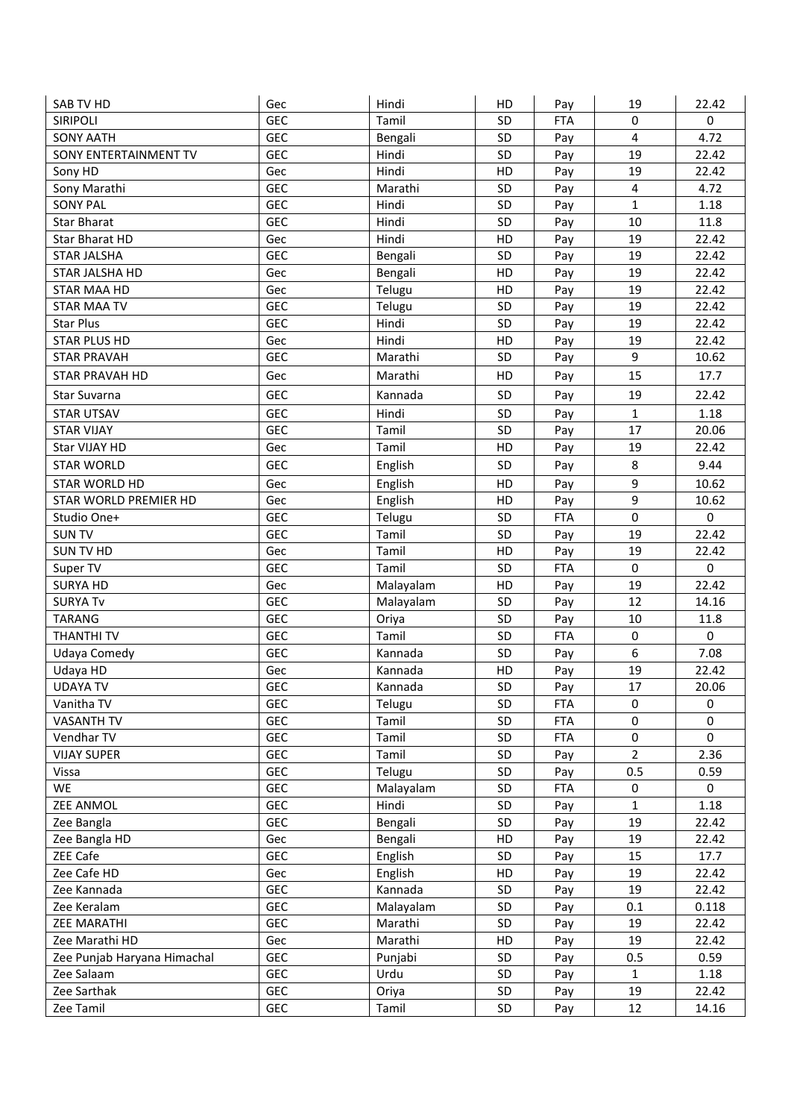| SAB TV HD                   | Gec        | Hindi     | HD        | Pay        | 19                      | 22.42       |
|-----------------------------|------------|-----------|-----------|------------|-------------------------|-------------|
| <b>SIRIPOLI</b>             | <b>GEC</b> | Tamil     | SD        | <b>FTA</b> | $\mathbf 0$             | $\mathbf 0$ |
| <b>SONY AATH</b>            | <b>GEC</b> | Bengali   | SD        | Pay        | $\overline{\mathbf{4}}$ | 4.72        |
| SONY ENTERTAINMENT TV       | <b>GEC</b> | Hindi     | <b>SD</b> | Pay        | 19                      | 22.42       |
| Sony HD                     | Gec        | Hindi     | HD        | Pay        | 19                      | 22.42       |
| Sony Marathi                | <b>GEC</b> | Marathi   | <b>SD</b> | Pay        | $\overline{4}$          | 4.72        |
| <b>SONY PAL</b>             | <b>GEC</b> | Hindi     | SD        | Pay        | $\mathbf{1}$            | 1.18        |
| Star Bharat                 | <b>GEC</b> | Hindi     | SD        | Pay        | 10                      | 11.8        |
| Star Bharat HD              | Gec        | Hindi     | HD        | Pay        | 19                      | 22.42       |
| <b>STAR JALSHA</b>          | <b>GEC</b> | Bengali   | SD        | Pay        | 19                      | 22.42       |
| STAR JALSHA HD              | Gec        | Bengali   | HD        | Pay        | 19                      | 22.42       |
| STAR MAA HD                 | Gec        | Telugu    | HD        | Pay        | 19                      | 22.42       |
| <b>STAR MAA TV</b>          | <b>GEC</b> | Telugu    | <b>SD</b> | Pay        | 19                      | 22.42       |
| <b>Star Plus</b>            | <b>GEC</b> | Hindi     | SD        | Pay        | 19                      | 22.42       |
| <b>STAR PLUS HD</b>         | Gec        | Hindi     | HD        | Pay        | 19                      | 22.42       |
| <b>STAR PRAVAH</b>          | <b>GEC</b> | Marathi   | <b>SD</b> | Pay        | 9                       | 10.62       |
| STAR PRAVAH HD              | Gec        | Marathi   | HD        | Pay        | 15                      | 17.7        |
| Star Suvarna                | <b>GEC</b> | Kannada   | SD        | Pay        | 19                      | 22.42       |
| <b>STAR UTSAV</b>           | <b>GEC</b> | Hindi     | SD        | Pay        | $\mathbf{1}$            | 1.18        |
| <b>STAR VIJAY</b>           | <b>GEC</b> | Tamil     | SD        | Pay        | 17                      | 20.06       |
| Star VIJAY HD               | Gec        | Tamil     | HD        | Pay        | 19                      | 22.42       |
| <b>STAR WORLD</b>           | <b>GEC</b> | English   | SD        | Pay        | 8                       | 9.44        |
| STAR WORLD HD               | Gec        | English   | HD        | Pay        | 9                       | 10.62       |
| STAR WORLD PREMIER HD       | Gec        | English   | HD        | Pay        | 9                       | 10.62       |
| Studio One+                 | <b>GEC</b> | Telugu    | SD        | <b>FTA</b> | $\mathbf 0$             | $\mathbf 0$ |
| <b>SUN TV</b>               | <b>GEC</b> | Tamil     | SD        | Pay        | 19                      | 22.42       |
| <b>SUN TV HD</b>            | Gec        | Tamil     | HD        | Pay        | 19                      | 22.42       |
| Super TV                    | <b>GEC</b> | Tamil     | <b>SD</b> | <b>FTA</b> | 0                       | $\mathbf 0$ |
| <b>SURYA HD</b>             | Gec        | Malayalam | HD        | Pay        | 19                      | 22.42       |
| <b>SURYA Tv</b>             | <b>GEC</b> | Malayalam | SD        | Pay        | 12                      | 14.16       |
| <b>TARANG</b>               | <b>GEC</b> | Oriya     | <b>SD</b> | Pay        | 10                      | 11.8        |
| THANTHI TV                  | <b>GEC</b> | Tamil     | SD        | <b>FTA</b> | $\pmb{0}$               | $\mathbf 0$ |
| Udaya Comedy                | <b>GEC</b> | Kannada   | SD        | Pay        | 6                       | 7.08        |
| Udaya HD                    | Gec        | Kannada   | HD        | Pay        | 19                      | 22.42       |
| <b>UDAYA TV</b>             | GEC        | Kannada   | SD        | Pay        | 17                      | 20.06       |
| Vanitha TV                  | <b>GEC</b> | Telugu    | <b>SD</b> | <b>FTA</b> | $\mathbf 0$             | $\mathbf 0$ |
| <b>VASANTH TV</b>           | <b>GEC</b> | Tamil     | <b>SD</b> | <b>FTA</b> | $\mathbf 0$             | $\mathbf 0$ |
| Vendhar TV                  | <b>GEC</b> | Tamil     | SD        | <b>FTA</b> | $\mathbf 0$             | $\mathbf 0$ |
| <b>VIJAY SUPER</b>          | <b>GEC</b> | Tamil     | SD        | Pay        | $\overline{2}$          | 2.36        |
| Vissa                       | <b>GEC</b> | Telugu    | SD        | Pay        | 0.5                     | 0.59        |
| WE                          | <b>GEC</b> | Malayalam | SD        | <b>FTA</b> | $\mathbf 0$             | 0           |
| <b>ZEE ANMOL</b>            | <b>GEC</b> | Hindi     | SD        | Pay        | $\mathbf{1}$            | 1.18        |
| Zee Bangla                  | <b>GEC</b> | Bengali   | SD        | Pay        | 19                      | 22.42       |
| Zee Bangla HD               | Gec        | Bengali   | HD        | Pay        | 19                      | 22.42       |
| ZEE Cafe                    | <b>GEC</b> | English   | SD        | Pay        | 15                      | 17.7        |
| Zee Cafe HD                 | Gec        | English   | HD        | Pay        | 19                      | 22.42       |
| Zee Kannada                 | <b>GEC</b> | Kannada   | SD        | Pay        | 19                      | 22.42       |
| Zee Keralam                 | <b>GEC</b> | Malayalam | SD        | Pay        | 0.1                     | 0.118       |
| <b>ZEE MARATHI</b>          | <b>GEC</b> | Marathi   | SD        | Pay        | 19                      | 22.42       |
| Zee Marathi HD              | Gec        | Marathi   | HD        | Pay        | 19                      | 22.42       |
| Zee Punjab Haryana Himachal | <b>GEC</b> | Punjabi   | SD        | Pay        | 0.5                     | 0.59        |
| Zee Salaam                  | <b>GEC</b> | Urdu      | SD        | Pay        | 1                       | 1.18        |
| Zee Sarthak                 | <b>GEC</b> | Oriya     | SD        | Pay        | 19                      | 22.42       |
| Zee Tamil                   | GEC        | Tamil     | SD        | Pay        | 12                      | 14.16       |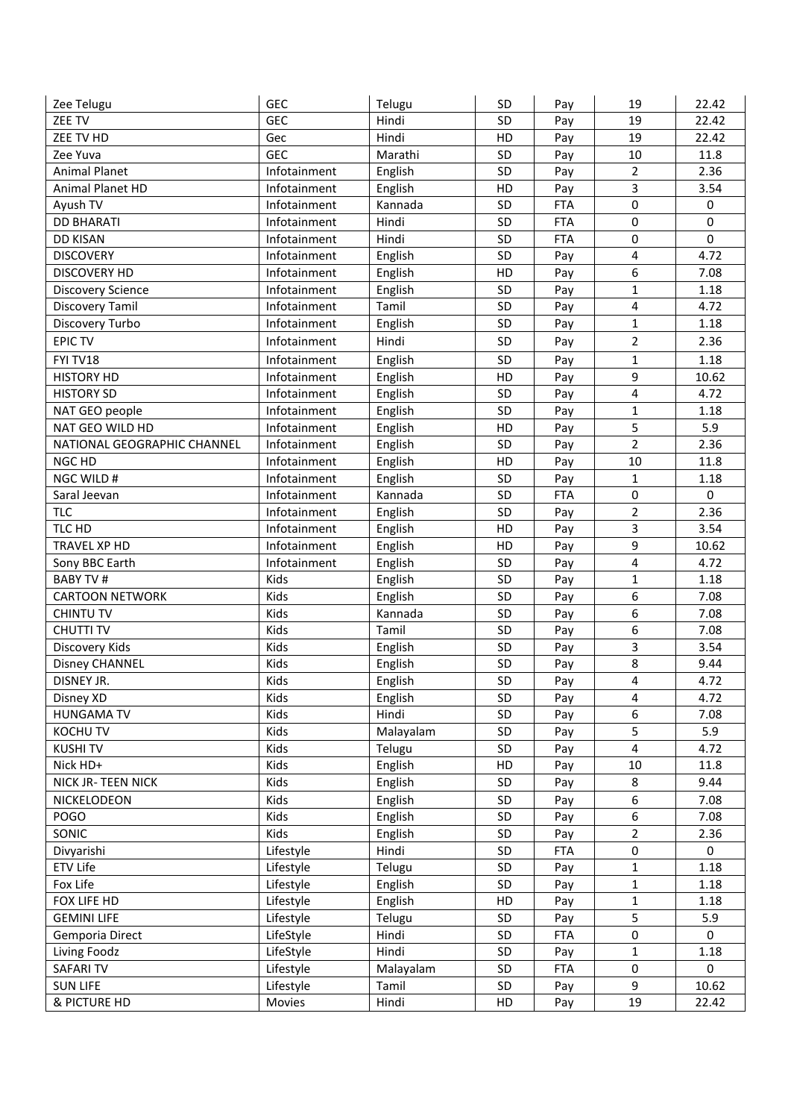| Zee Telugu                   | <b>GEC</b>   | Telugu             | SD       | Pay        | 19                  | 22.42          |
|------------------------------|--------------|--------------------|----------|------------|---------------------|----------------|
| ZEE TV                       | <b>GEC</b>   | Hindi              | SD       | Pay        | 19                  | 22.42          |
| ZEE TV HD                    | Gec          | Hindi              | HD       | Pay        | 19                  | 22.42          |
| Zee Yuva                     | <b>GEC</b>   | Marathi            | SD       | Pay        | 10                  | 11.8           |
| <b>Animal Planet</b>         | Infotainment | English            | SD       | Pay        | $\overline{2}$      | 2.36           |
| Animal Planet HD             | Infotainment | English            | HD       | Pay        | $\overline{3}$      | 3.54           |
| Ayush TV                     | Infotainment | Kannada            | SD       | <b>FTA</b> | $\mathbf 0$         | 0              |
| <b>DD BHARATI</b>            | Infotainment | Hindi              | SD       | <b>FTA</b> | $\mathbf 0$         | 0              |
| <b>DD KISAN</b>              | Infotainment | Hindi              | SD       | <b>FTA</b> | $\mathbf 0$         | $\overline{0}$ |
| <b>DISCOVERY</b>             | Infotainment | English            | SD       | Pay        | $\overline{4}$      | 4.72           |
| <b>DISCOVERY HD</b>          | Infotainment | English            | HD       | Pay        | 6                   | 7.08           |
| <b>Discovery Science</b>     | Infotainment | English            | SD       | Pay        | $\mathbf{1}$        | 1.18           |
| Discovery Tamil              | Infotainment | Tamil              | SD       | Pay        | 4                   | 4.72           |
| Discovery Turbo              | Infotainment | English            | SD       | Pay        | 1                   | 1.18           |
| <b>EPIC TV</b>               | Infotainment | Hindi              | SD       | Pay        | $\overline{2}$      | 2.36           |
| FYI TV18                     | Infotainment | English            | SD       | Pay        | $\mathbf{1}$        | 1.18           |
| <b>HISTORY HD</b>            | Infotainment | English            | HD       | Pay        | 9                   | 10.62          |
| <b>HISTORY SD</b>            | Infotainment | English            | SD       | Pay        | 4                   | 4.72           |
| NAT GEO people               | Infotainment | English            | SD       | Pay        | $\mathbf{1}$        | 1.18           |
| NAT GEO WILD HD              | Infotainment | English            | HD       | Pay        | 5                   | 5.9            |
| NATIONAL GEOGRAPHIC CHANNEL  | Infotainment | English            | SD       | Pay        | $\overline{2}$      | 2.36           |
| NGC HD                       | Infotainment | English            | HD       | Pay        | 10                  | 11.8           |
| NGC WILD #                   | Infotainment | English            | SD       | Pay        | $\mathbf{1}$        | 1.18           |
| Saral Jeevan                 | Infotainment | Kannada            | SD       | <b>FTA</b> | $\boldsymbol{0}$    | $\mathbf 0$    |
| <b>TLC</b>                   | Infotainment | English            | SD       | Pay        | $\overline{2}$      | 2.36           |
| TLC HD                       | Infotainment | English            | HD       | Pay        | 3                   | 3.54           |
| TRAVEL XP HD                 | Infotainment | English            | HD       | Pay        | 9                   | 10.62          |
| Sony BBC Earth               | Infotainment | English            | SD       | Pay        | 4                   | 4.72           |
| <b>BABY TV#</b>              | Kids         |                    | SD       |            | 1                   | 1.18           |
| <b>CARTOON NETWORK</b>       | Kids         | English<br>English | SD       | Pay<br>Pay | 6                   | 7.08           |
| <b>CHINTU TV</b>             | Kids         | Kannada            | SD       |            | 6                   | 7.08           |
| <b>CHUTTI TV</b>             | Kids         | Tamil              | SD       | Pay        | 6                   | 7.08           |
| Discovery Kids               | Kids         |                    | SD       | Pay        | 3                   | 3.54           |
|                              | Kids         | English            | SD       | Pay        | 8                   | 9.44           |
| Disney CHANNEL<br>DISNEY JR. | Kids         | English<br>English | SD       | Pay<br>Pay | 4                   | 4.72           |
|                              | Kids         |                    |          |            |                     | 4.72           |
| Disney XD                    | Kids         | English<br>Hindi   | SD<br>SD | Pay        | 4<br>6              | 7.08           |
| <b>HUNGAMA TV</b>            |              |                    |          | Pay        |                     |                |
| KOCHU TV                     | Kids         | Malayalam          | SD<br>SD | Pay        | 5<br>$\overline{4}$ | 5.9            |
| <b>KUSHITV</b>               | Kids         | Telugu             |          | Pay        | 10                  | 4.72           |
| Nick HD+                     | Kids         | English            | HD       | Pay        |                     | 11.8           |
| NICK JR- TEEN NICK           | Kids         | English            | SD       | Pay        | 8                   | 9.44           |
| NICKELODEON                  | Kids         | English            | SD       | Pay        | 6                   | 7.08           |
| <b>POGO</b>                  | Kids         | English            | SD       | Pay        | 6                   | 7.08           |
| SONIC                        | Kids         | English            | SD       | Pay        | $\overline{2}$      | 2.36           |
| Divyarishi                   | Lifestyle    | Hindi              | SD       | <b>FTA</b> | 0                   | 0              |
| ETV Life                     | Lifestyle    | Telugu             | SD       | Pay        | $\mathbf{1}$        | 1.18           |
| Fox Life                     | Lifestyle    | English            | SD       | Pay        | $\mathbf{1}$        | 1.18           |
| FOX LIFE HD                  | Lifestyle    | English            | HD       | Pay        | 1                   | 1.18           |
| <b>GEMINI LIFE</b>           | Lifestyle    | Telugu             | SD       | Pay        | 5                   | 5.9            |
| Gemporia Direct              | LifeStyle    | Hindi              | SD       | <b>FTA</b> | $\boldsymbol{0}$    | 0              |
| Living Foodz                 | LifeStyle    | Hindi              | SD       | Pay        | $\mathbf{1}$        | 1.18           |
| SAFARI TV                    | Lifestyle    | Malayalam          | SD       | <b>FTA</b> | $\pmb{0}$           | 0              |
| <b>SUN LIFE</b>              | Lifestyle    | Tamil              | SD       | Pay        | 9                   | 10.62          |
| & PICTURE HD                 | Movies       | Hindi              | HD       | Pay        | 19                  | 22.42          |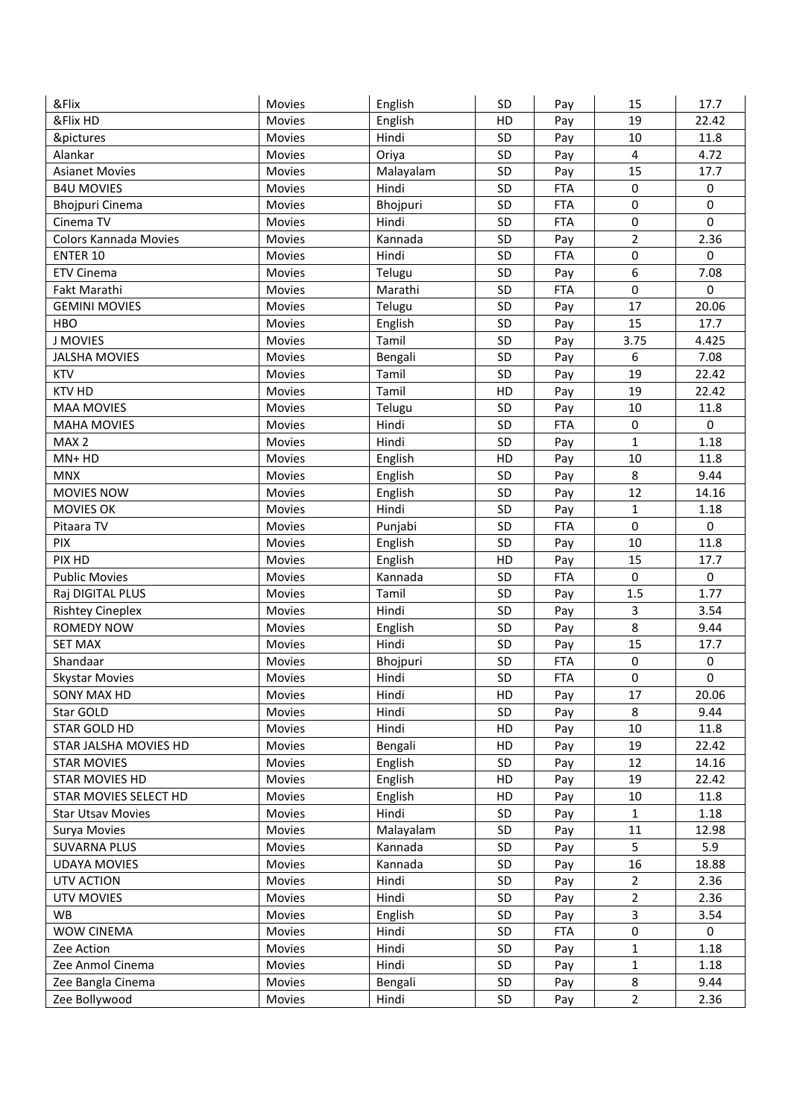| &Flix                    | Movies        | English          | SD | Pay        | 15                          | 17.7        |
|--------------------------|---------------|------------------|----|------------|-----------------------------|-------------|
| &Flix HD                 | Movies        | English          | HD | Pay        | 19                          | 22.42       |
| &pictures                | Movies        | Hindi            | SD | Pay        | 10                          | 11.8        |
| Alankar                  | <b>Movies</b> | Oriya            | SD | Pay        | 4                           | 4.72        |
| <b>Asianet Movies</b>    | Movies        | Malayalam        | SD | Pay        | 15                          | 17.7        |
| <b>B4U MOVIES</b>        | Movies        | Hindi            | SD | <b>FTA</b> | 0                           | 0           |
| <b>Bhojpuri Cinema</b>   | Movies        | Bhojpuri         | SD | <b>FTA</b> | $\mathbf 0$                 | 0           |
| Cinema TV                | Movies        | Hindi            | SD | <b>FTA</b> | 0                           | 0           |
| Colors Kannada Movies    | Movies        | Kannada          | SD | Pay        | $\overline{2}$              | 2.36        |
| ENTER 10                 | Movies        | Hindi            | SD | <b>FTA</b> | $\pmb{0}$                   | 0           |
| <b>ETV Cinema</b>        | Movies        | Telugu           | SD | Pay        | 6                           | 7.08        |
| Fakt Marathi             | Movies        | Marathi          | SD | <b>FTA</b> | 0                           | 0           |
| <b>GEMINI MOVIES</b>     | Movies        | Telugu           | SD | Pay        | 17                          | 20.06       |
| <b>HBO</b>               | Movies        | English          | SD | Pay        | 15                          | 17.7        |
| <b>J MOVIES</b>          | Movies        | Tamil            | SD | Pay        | 3.75                        | 4.425       |
| <b>JALSHA MOVIES</b>     | Movies        | Bengali          | SD | Pay        | 6                           | 7.08        |
| <b>KTV</b>               | Movies        | Tamil            | SD | Pay        | 19                          | 22.42       |
| <b>KTV HD</b>            | Movies        | Tamil            | HD | Pay        | 19                          | 22.42       |
| <b>MAA MOVIES</b>        | Movies        | Telugu           | SD | Pay        | 10                          | 11.8        |
| <b>MAHA MOVIES</b>       | Movies        | Hindi            | SD | <b>FTA</b> | $\boldsymbol{0}$            | 0           |
| MAX <sub>2</sub>         | Movies        | Hindi            | SD | Pay        | $\mathbf{1}$                | 1.18        |
| MN+HD                    | <b>Movies</b> | English          | HD | Pay        | 10                          | 11.8        |
| <b>MNX</b>               | Movies        | English          | SD | Pay        | 8                           | 9.44        |
| <b>MOVIES NOW</b>        | Movies        |                  | SD | Pay        | 12                          | 14.16       |
|                          |               | English<br>Hindi | SD |            |                             |             |
| <b>MOVIES OK</b>         | Movies        |                  | SD | Pay        | $\mathbf{1}$<br>$\mathbf 0$ | 1.18        |
| Pitaara TV               | Movies        | Punjabi          |    | <b>FTA</b> |                             | $\pmb{0}$   |
| PIX                      | Movies        | English          | SD | Pay        | 10                          | 11.8        |
| PIX HD                   | Movies        | English          | HD | Pay        | 15                          | 17.7        |
| <b>Public Movies</b>     | Movies        | Kannada          | SD | <b>FTA</b> | 0                           | 0           |
| Raj DIGITAL PLUS         | Movies        | Tamil            | SD | Pay        | 1.5                         | 1.77        |
| <b>Rishtey Cineplex</b>  | Movies        | Hindi            | SD | Pay        | 3                           | 3.54        |
| <b>ROMEDY NOW</b>        | Movies        | English          | SD | Pay        | 8                           | 9.44        |
| <b>SET MAX</b>           | Movies        | Hindi            | SD | Pay        | 15                          | 17.7        |
| Shandaar                 | Movies        | Bhojpuri         | SD | <b>FTA</b> | $\pmb{0}$                   | $\mathbf 0$ |
| <b>Skystar Movies</b>    | <b>Movies</b> | Hindi            | SD | <b>FTA</b> | $\pmb{0}$                   | $\pmb{0}$   |
| SONY MAX HD              | Movies        | Hindi            | HD | Pay        | 17                          | 20.06       |
| Star GOLD                | Movies        | Hindi            | SD | Pay        | 8                           | 9.44        |
| <b>STAR GOLD HD</b>      | Movies        | Hindi            | HD | Pay        | 10                          | 11.8        |
| STAR JALSHA MOVIES HD    | Movies        | Bengali          | HD | Pay        | 19                          | 22.42       |
| <b>STAR MOVIES</b>       | Movies        | English          | SD | Pay        | 12                          | 14.16       |
| <b>STAR MOVIES HD</b>    | Movies        | English          | HD | Pay        | 19                          | 22.42       |
| STAR MOVIES SELECT HD    | Movies        | English          | HD | Pay        | $10\,$                      | 11.8        |
| <b>Star Utsav Movies</b> | Movies        | Hindi            | SD | Pay        | 1                           | 1.18        |
| Surya Movies             | <b>Movies</b> | Malayalam        | SD | Pay        | 11                          | 12.98       |
| <b>SUVARNA PLUS</b>      | Movies        | Kannada          | SD | Pay        | 5                           | 5.9         |
| <b>UDAYA MOVIES</b>      | <b>Movies</b> | Kannada          | SD | Pay        | 16                          | 18.88       |
| UTV ACTION               | Movies        | Hindi            | SD | Pay        | $\overline{2}$              | 2.36        |
| <b>UTV MOVIES</b>        | Movies        | Hindi            | SD | Pay        | $\overline{2}$              | 2.36        |
| <b>WB</b>                | Movies        | English          | SD | Pay        | 3                           | 3.54        |
| <b>WOW CINEMA</b>        | Movies        | Hindi            | SD | <b>FTA</b> | $\boldsymbol{0}$            | 0           |
| Zee Action               | Movies        | Hindi            | SD | Pay        | $\mathbf{1}$                | 1.18        |
| Zee Anmol Cinema         | Movies        | Hindi            | SD | Pay        | $\mathbf{1}$                | 1.18        |
| Zee Bangla Cinema        | Movies        | Bengali          | SD | Pay        | 8                           | 9.44        |
| Zee Bollywood            | Movies        | Hindi            | SD | Pay        | $\overline{2}$              | 2.36        |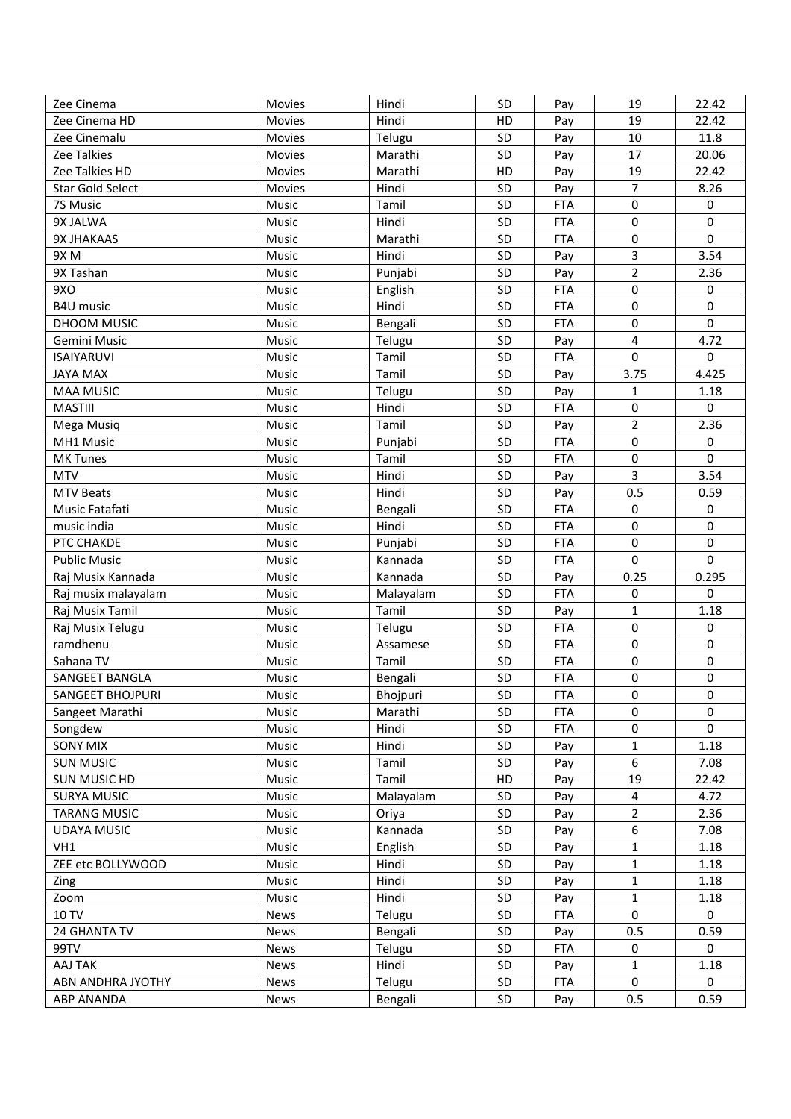| Zee Cinema            | Movies         | Hindi              | SD       | Pay        | 19                          | 22.42                |
|-----------------------|----------------|--------------------|----------|------------|-----------------------------|----------------------|
| Zee Cinema HD         | Movies         | Hindi              | HD       | Pay        | 19                          | 22.42                |
| Zee Cinemalu          | Movies         | Telugu             | SD       | Pay        | 10                          | 11.8                 |
| Zee Talkies           | Movies         | Marathi            | SD       | Pay        | 17                          | 20.06                |
| Zee Talkies HD        | Movies         | Marathi            | HD       | Pay        | 19                          | 22.42                |
| Star Gold Select      | <b>Movies</b>  | Hindi              | SD       | Pay        | 7                           | 8.26                 |
| 7S Music              | Music          | Tamil              | SD       | <b>FTA</b> | $\mathbf 0$                 | 0                    |
| 9X JALWA              | Music          | Hindi              | SD       | <b>FTA</b> | $\mathbf 0$                 | 0                    |
| 9X JHAKAAS            | Music          | Marathi            | SD       | <b>FTA</b> | $\mathbf 0$                 | $\mathbf 0$          |
| 9XM                   | Music          | Hindi              | SD       | Pay        | 3                           | 3.54                 |
| 9X Tashan             | Music          | Punjabi            | SD       | Pay        | $\overline{2}$              | 2.36                 |
| 9XO                   | Music          | English            | SD       | <b>FTA</b> | 0                           | 0                    |
| <b>B4U music</b>      | Music          | Hindi              | SD       | <b>FTA</b> | $\mathbf 0$                 | 0                    |
| DHOOM MUSIC           | Music          | Bengali            | SD       | <b>FTA</b> | $\pmb{0}$                   | 0                    |
| Gemini Music          | Music          | Telugu             | SD       | Pay        | 4                           | 4.72                 |
| <b>ISAIYARUVI</b>     | Music          | Tamil              | SD       | <b>FTA</b> | $\mathbf 0$                 | $\mathbf 0$          |
| <b>JAYA MAX</b>       | Music          | Tamil              | SD       | Pay        | 3.75                        | 4.425                |
| <b>MAA MUSIC</b>      | Music          | Telugu             | SD       | Pay        | 1                           | 1.18                 |
| <b>MASTIII</b>        | Music          | Hindi              | SD       | <b>FTA</b> | $\pmb{0}$                   | 0                    |
| Mega Musiq            | Music          | Tamil              | SD       | Pay        | $\overline{2}$              | 2.36                 |
| MH1 Music             | Music          | Punjabi            | SD       | <b>FTA</b> | $\mathbf 0$                 | $\mathbf 0$          |
| <b>MK Tunes</b>       | Music          | Tamil              | SD       | <b>FTA</b> | $\mathbf 0$                 | $\mathbf 0$          |
| <b>MTV</b>            | <b>Music</b>   | Hindi              | SD       | Pay        | 3                           | 3.54                 |
| <b>MTV Beats</b>      | Music          | Hindi              | SD       | Pay        | 0.5                         | 0.59                 |
| Music Fatafati        | Music          | Bengali            | SD       | <b>FTA</b> | $\mathbf 0$                 | $\mathbf 0$          |
| music india           | Music          | Hindi              | SD       | <b>FTA</b> | $\mathbf 0$                 | $\mathbf 0$          |
| PTC CHAKDE            | Music          |                    | SD       | <b>FTA</b> | 0                           | 0                    |
|                       |                | Punjabi<br>Kannada | SD       | <b>FTA</b> | 0                           | $\Omega$             |
| <b>Public Music</b>   | Music<br>Music |                    | SD       |            |                             |                      |
| Raj Musix Kannada     |                | Kannada            |          | Pay        | 0.25<br>$\pmb{0}$           | 0.295<br>$\mathbf 0$ |
| Raj musix malayalam   | Music          | Malayalam          | SD       | <b>FTA</b> |                             |                      |
| Raj Musix Tamil       | Music          | Tamil              | SD       | Pay        | $\mathbf{1}$<br>$\mathbf 0$ | 1.18                 |
| Raj Musix Telugu      | Music          | Telugu             | SD<br>SD | <b>FTA</b> | $\mathbf 0$                 | 0<br>$\mathbf 0$     |
| ramdhenu              | Music          | Assamese           |          | <b>FTA</b> | $\mathbf 0$                 | $\mathbf 0$          |
| Sahana TV             | Music          | Tamil              | SD       | <b>FTA</b> |                             |                      |
| <b>SANGEET BANGLA</b> | Music          | Bengali            | SD       | <b>FTA</b> | $\pmb{0}$                   | $\mathbf 0$          |
| SANGEET BHOJPURI      | Music          | Bhojpuri           | SD       | <b>FTA</b> | 0                           | 0                    |
| Sangeet Marathi       | Music          | Marathi            | SD       | <b>FTA</b> | 0                           | $\Omega$             |
| Songdew               | Music          | Hindi              | SD       | <b>FTA</b> | $\boldsymbol{0}$            | 0                    |
| <b>SONY MIX</b>       | Music          | Hindi              | SD       | Pay        | $\mathbf{1}$                | 1.18                 |
| <b>SUN MUSIC</b>      | Music          | Tamil              | SD       | Pay        | 6                           | 7.08                 |
| <b>SUN MUSIC HD</b>   | Music          | Tamil              | HD       | Pay        | 19                          | 22.42                |
| <b>SURYA MUSIC</b>    | Music          | Malayalam          | SD       | Pay        | 4                           | 4.72                 |
| <b>TARANG MUSIC</b>   | Music          | Oriya              | SD       | Pay        | $\overline{2}$              | 2.36                 |
| <b>UDAYA MUSIC</b>    | Music          | Kannada            | SD       | Pay        | $\boldsymbol{6}$            | 7.08                 |
| VH1                   | Music          | English            | SD       | Pay        | 1                           | 1.18                 |
| ZEE etc BOLLYWOOD     | Music          | Hindi              | SD       | Pay        | 1                           | 1.18                 |
| Zing                  | Music          | Hindi              | SD       | Pay        | 1                           | 1.18                 |
| Zoom                  | Music          | Hindi              | SD       | Pay        | $\mathbf{1}$                | 1.18                 |
| 10 TV                 | News           | Telugu             | SD       | <b>FTA</b> | $\mathbf 0$                 | 0                    |
| 24 GHANTA TV          | News           | Bengali            | SD       | Pay        | 0.5                         | 0.59                 |
| 99TV                  | News           | Telugu             | SD       | <b>FTA</b> | $\mathbf 0$                 | 0                    |
| AAJ TAK               | <b>News</b>    | Hindi              | SD       | Pay        | $\mathbf{1}$                | 1.18                 |
| ABN ANDHRA JYOTHY     | News           | Telugu             | SD       | <b>FTA</b> | $\mathbf 0$                 | 0                    |
| <b>ABP ANANDA</b>     | News           | Bengali            | SD       | Pay        | 0.5                         | 0.59                 |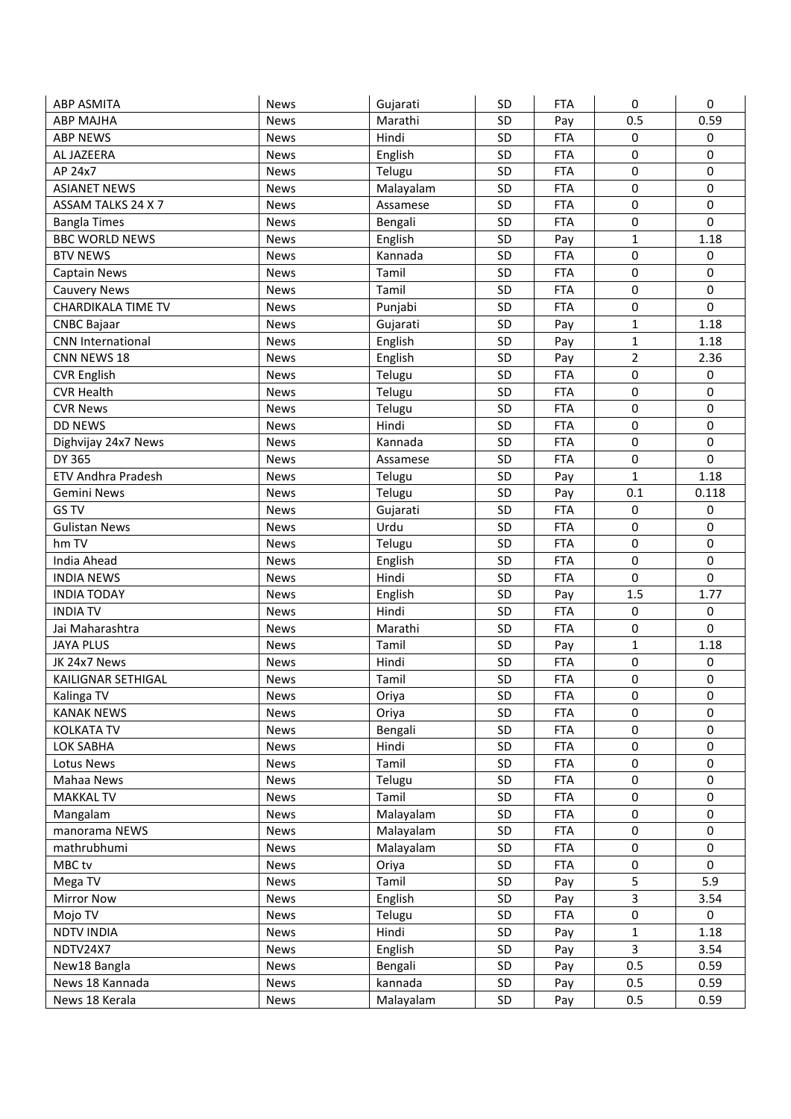| <b>ABP ASMITA</b>         | <b>News</b>                | Gujarati           | SD | <b>FTA</b>        | 0                | 0                |
|---------------------------|----------------------------|--------------------|----|-------------------|------------------|------------------|
| <b>ABP MAJHA</b>          | <b>News</b>                | Marathi            | SD | Pay               | 0.5              | 0.59             |
| <b>ABP NEWS</b>           | <b>News</b>                | Hindi              | SD | <b>FTA</b>        | $\mathbf 0$      | 0                |
| AL JAZEERA                | <b>News</b>                | English            | SD | <b>FTA</b>        | $\pmb{0}$        | $\pmb{0}$        |
| AP 24x7                   | <b>News</b>                | Telugu             | SD | <b>FTA</b>        | 0                | $\mathbf 0$      |
| <b>ASIANET NEWS</b>       | <b>News</b>                | Malayalam          | SD | <b>FTA</b>        | 0                | $\mathbf 0$      |
| ASSAM TALKS 24 X 7        | <b>News</b>                | Assamese           | SD | <b>FTA</b>        | 0                | $\mathbf 0$      |
| <b>Bangla Times</b>       | <b>News</b>                | Bengali            | SD | <b>FTA</b>        | 0                | $\mathbf 0$      |
| <b>BBC WORLD NEWS</b>     | <b>News</b>                | English            | SD | Pay               | $\mathbf{1}$     | 1.18             |
| <b>BTV NEWS</b>           | <b>News</b>                | Kannada            | SD | <b>FTA</b>        | $\pmb{0}$        | 0                |
| Captain News              | <b>News</b>                | Tamil              | SD | <b>FTA</b>        | 0                | $\mathbf 0$      |
| <b>Cauvery News</b>       | <b>News</b>                | Tamil              | SD | <b>FTA</b>        | $\mathbf 0$      | $\mathbf 0$      |
| <b>CHARDIKALA TIME TV</b> | <b>News</b>                | Punjabi            | SD | <b>FTA</b>        | $\mathbf 0$      | $\mathbf 0$      |
| <b>CNBC Bajaar</b>        | <b>News</b>                | Gujarati           | SD | Pay               | $\mathbf{1}$     | 1.18             |
| <b>CNN International</b>  | <b>News</b>                | English            | SD | Pay               | $\mathbf{1}$     | 1.18             |
| CNN NEWS 18               | <b>News</b>                | English            | SD | Pay               | $\overline{2}$   | 2.36             |
| <b>CVR English</b>        | <b>News</b>                | Telugu             | SD | <b>FTA</b>        | $\mathbf 0$      | $\pmb{0}$        |
| <b>CVR Health</b>         | <b>News</b>                | Telugu             | SD | <b>FTA</b>        | 0                | $\pmb{0}$        |
| <b>CVR News</b>           | <b>News</b>                | Telugu             | SD | <b>FTA</b>        | 0                | $\mathbf 0$      |
| <b>DD NEWS</b>            | <b>News</b>                | Hindi              | SD | <b>FTA</b>        | $\pmb{0}$        | 0                |
| Dighvijay 24x7 News       | <b>News</b>                | Kannada            | SD | <b>FTA</b>        | 0                | $\mathbf 0$      |
| DY 365                    | <b>News</b>                | Assamese           | SD | <b>FTA</b>        | 0                | $\mathbf 0$      |
| <b>ETV Andhra Pradesh</b> | <b>News</b>                |                    | SD | Pay               | $\mathbf{1}$     | 1.18             |
| Gemini News               | <b>News</b>                | Telugu             | SD |                   | 0.1              | 0.118            |
| GS TV                     |                            | Telugu<br>Gujarati | SD | Pay<br><b>FTA</b> | $\pmb{0}$        | $\pmb{0}$        |
| <b>Gulistan News</b>      | <b>News</b><br><b>News</b> | Urdu               | SD | <b>FTA</b>        | $\pmb{0}$        | $\mathbf 0$      |
| hm TV                     |                            |                    | SD |                   | 0                | $\mathbf 0$      |
|                           | <b>News</b>                | Telugu             | SD | <b>FTA</b>        | 0                | $\pmb{0}$        |
| India Ahead               | <b>News</b>                | English            |    | <b>FTA</b>        |                  | $\mathbf 0$      |
| <b>INDIA NEWS</b>         | <b>News</b>                | Hindi              | SD | <b>FTA</b>        | 0                |                  |
| <b>INDIA TODAY</b>        | <b>News</b>                | English            | SD | Pay               | 1.5              | 1.77             |
| <b>INDIA TV</b>           | <b>News</b>                | Hindi              | SD | <b>FTA</b>        | $\pmb{0}$        | $\pmb{0}$        |
| Jai Maharashtra           | <b>News</b>                | Marathi            | SD | <b>FTA</b>        | $\pmb{0}$        | $\mathbf 0$      |
| <b>JAYA PLUS</b>          | News                       | Tamil              | SD | Pay               | $\mathbf{1}$     | 1.18             |
| JK 24x7 News              | <b>News</b>                | Hindi              | SD | <b>FTA</b>        | $\pmb{0}$        | $\boldsymbol{0}$ |
| KAILIGNAR SETHIGAL        | <b>News</b>                | Tamil              | SD | <b>FTA</b>        | $\mathbf 0$      | $\mathbf 0$      |
| Kalinga TV                | News                       | Oriya              | SD | <b>FTA</b>        | 0                | $\pmb{0}$        |
| <b>KANAK NEWS</b>         | <b>News</b>                | Oriya              | SD | <b>FTA</b>        | $\pmb{0}$        | $\mathbf 0$      |
| <b>KOLKATA TV</b>         | News                       | Bengali            | SD | <b>FTA</b>        | $\pmb{0}$        | $\mathbf 0$      |
| LOK SABHA                 | News                       | Hindi              | SD | <b>FTA</b>        | $\pmb{0}$        | $\mathbf 0$      |
| Lotus News                | News                       | Tamil              | SD | <b>FTA</b>        | $\mathbf 0$      | $\mathbf 0$      |
| Mahaa News                | News                       | Telugu             | SD | <b>FTA</b>        | $\boldsymbol{0}$ | $\boldsymbol{0}$ |
| <b>MAKKAL TV</b>          | News                       | Tamil              | SD | <b>FTA</b>        | $\pmb{0}$        | $\mathbf 0$      |
| Mangalam                  | News                       | Malayalam          | SD | <b>FTA</b>        | $\pmb{0}$        | $\pmb{0}$        |
| manorama NEWS             | News                       | Malayalam          | SD | <b>FTA</b>        | $\pmb{0}$        | $\mathbf 0$      |
| mathrubhumi               | News                       | Malayalam          | SD | <b>FTA</b>        | 0                | 0                |
| MBC tv                    | News                       | Oriya              | SD | <b>FTA</b>        | $\pmb{0}$        | $\mathbf 0$      |
| Mega TV                   | News                       | Tamil              | SD | Pay               | 5                | 5.9              |
| Mirror Now                | News                       | English            | SD | Pay               | $\overline{3}$   | 3.54             |
| Mojo TV                   | News                       | Telugu             | SD | <b>FTA</b>        | $\pmb{0}$        | $\mathbf 0$      |
| <b>NDTV INDIA</b>         | News                       | Hindi              | SD | Pay               | $\mathbf{1}$     | 1.18             |
| NDTV24X7                  | News                       | English            | SD | Pay               | $\overline{3}$   | 3.54             |
| New18 Bangla              | News                       | Bengali            | SD | Pay               | 0.5              | 0.59             |
| News 18 Kannada           | News                       | kannada            | SD | Pay               | 0.5              | 0.59             |
| News 18 Kerala            | News                       | Malayalam          | SD | Pay               | 0.5              | 0.59             |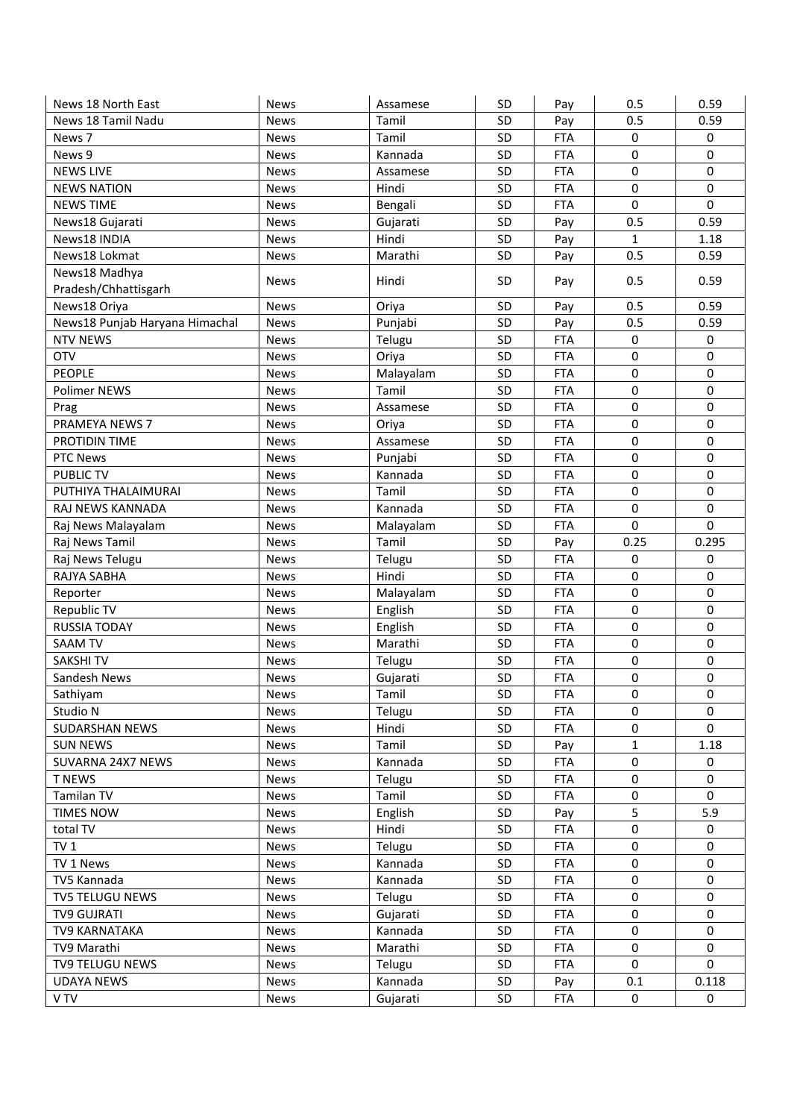| News 18 North East                       | <b>News</b>                | Assamese          | SD        | Pay                      | 0.5               | 0.59             |
|------------------------------------------|----------------------------|-------------------|-----------|--------------------------|-------------------|------------------|
| News 18 Tamil Nadu                       | <b>News</b>                | Tamil             | SD        | Pay                      | 0.5               | 0.59             |
| News 7                                   | <b>News</b>                | Tamil             | SD        | <b>FTA</b>               | 0                 | 0                |
| News 9                                   | <b>News</b>                | Kannada           | SD        | <b>FTA</b>               | 0                 | 0                |
| <b>NEWS LIVE</b>                         | <b>News</b>                | Assamese          | SD        | <b>FTA</b>               | 0                 | $\mathbf 0$      |
| <b>NEWS NATION</b>                       | <b>News</b>                | Hindi             | SD        | <b>FTA</b>               | 0                 | 0                |
| <b>NEWS TIME</b>                         | <b>News</b>                | Bengali           | SD        | <b>FTA</b>               | 0                 | $\mathbf 0$      |
| News18 Gujarati                          | <b>News</b>                | Gujarati          | SD        | Pay                      | 0.5               | 0.59             |
| News18 INDIA                             | <b>News</b>                | Hindi             | SD        | Pay                      | $\mathbf{1}$      | 1.18             |
| News18 Lokmat                            | <b>News</b>                | Marathi           | SD        | Pay                      | 0.5               | 0.59             |
| News18 Madhya                            |                            |                   |           |                          |                   |                  |
| Pradesh/Chhattisgarh                     | <b>News</b>                | Hindi             | SD        | Pay                      | 0.5               | 0.59             |
| News18 Oriya                             | <b>News</b>                | Oriya             | SD        | Pay                      | 0.5               | 0.59             |
| News18 Punjab Haryana Himachal           | <b>News</b>                | Punjabi           | SD        | Pay                      | 0.5               | 0.59             |
| <b>NTV NEWS</b>                          | <b>News</b>                | Telugu            | SD        | <b>FTA</b>               | 0                 | $\mathbf 0$      |
| <b>OTV</b>                               | <b>News</b>                | Oriya             | SD        | <b>FTA</b>               | 0                 | $\mathbf 0$      |
| <b>PEOPLE</b>                            | <b>News</b>                | Malayalam         | SD        | <b>FTA</b>               | 0                 | $\mathbf 0$      |
| Polimer NEWS                             | <b>News</b>                | Tamil             | <b>SD</b> | <b>FTA</b>               | $\mathbf 0$       | $\mathbf 0$      |
| Prag                                     | <b>News</b>                | Assamese          | SD        | <b>FTA</b>               | 0                 | $\mathbf 0$      |
| PRAMEYA NEWS 7                           | <b>News</b>                | Oriya             | SD        | <b>FTA</b>               | 0                 | 0                |
| PROTIDIN TIME                            | <b>News</b>                | Assamese          | SD        | <b>FTA</b>               | 0                 | 0                |
| <b>PTC News</b>                          | <b>News</b>                | Punjabi           | SD        | <b>FTA</b>               | 0                 | 0                |
| <b>PUBLIC TV</b>                         | <b>News</b>                | Kannada           | SD        | <b>FTA</b>               | 0                 | 0                |
| PUTHIYA THALAIMURAI                      | <b>News</b>                | Tamil             | SD        | <b>FTA</b>               | 0                 | 0                |
| RAJ NEWS KANNADA                         | <b>News</b>                | Kannada           | SD        | <b>FTA</b>               | 0                 | $\mathbf 0$      |
| Raj News Malayalam                       | <b>News</b>                | Malayalam         | SD        | <b>FTA</b>               | 0                 | $\mathbf 0$      |
| Raj News Tamil                           |                            | Tamil             | SD        | Pay                      | 0.25              | 0.295            |
| Raj News Telugu                          | <b>News</b><br><b>News</b> | Telugu            | SD        | <b>FTA</b>               | 0                 | 0                |
| RAJYA SABHA                              | <b>News</b>                | Hindi             | SD        | <b>FTA</b>               | 0                 | 0                |
|                                          |                            |                   |           |                          | 0                 | 0                |
| Reporter                                 | <b>News</b>                | Malayalam         | SD<br>SD  | <b>FTA</b><br><b>FTA</b> | 0                 | $\pmb{0}$        |
| Republic TV<br><b>RUSSIA TODAY</b>       | <b>News</b>                | English           | SD        |                          | 0                 | 0                |
|                                          | <b>News</b>                | English           | SD        | <b>FTA</b>               | 0                 | $\mathbf 0$      |
| <b>SAAM TV</b>                           | <b>News</b>                | Marathi           | SD        | <b>FTA</b>               | 0                 | 0                |
| <b>SAKSHITV</b>                          | <b>News</b>                | Telugu            | SD        | <b>FTA</b><br><b>FTA</b> | 0                 | $\pmb{0}$        |
| Sandesh News<br>Sathiyam                 | <b>News</b>                | Gujarati<br>Tamil |           |                          |                   |                  |
|                                          | <b>News</b>                |                   | SD.       | FTA                      | 0                 | 0                |
| Studio N                                 | News                       | Telugu            | SD        | <b>FTA</b>               | 0                 | 0<br>$\Omega$    |
| <b>SUDARSHAN NEWS</b><br><b>SUN NEWS</b> | <b>News</b>                | Hindi<br>Tamil    | SD<br>SD  | <b>FTA</b>               | 0<br>$\mathbf{1}$ | 1.18             |
|                                          | <b>News</b>                |                   |           | Pay<br><b>FTA</b>        | 0                 | $\pmb{0}$        |
| SUVARNA 24X7 NEWS                        | News                       | Kannada           | SD        |                          |                   |                  |
| <b>T NEWS</b>                            | News                       | Telugu            | SD        | <b>FTA</b>               | 0                 | 0                |
| Tamilan TV                               | News                       | Tamil             | SD        | <b>FTA</b>               | 0                 | $\mathbf 0$      |
| <b>TIMES NOW</b>                         | News                       | English           | SD        | Pay                      | 5                 | 5.9              |
| total TV                                 | News                       | Hindi             | SD        | <b>FTA</b>               | 0                 | $\mathbf 0$      |
| TV <sub>1</sub>                          | News                       | Telugu            | SD        | <b>FTA</b>               | 0                 | $\pmb{0}$        |
| TV 1 News                                | News                       | Kannada           | SD        | <b>FTA</b>               | 0                 | $\mathbf 0$      |
| TV5 Kannada                              | News                       | Kannada           | SD        | <b>FTA</b>               | 0                 | 0                |
| TV5 TELUGU NEWS                          | News                       | Telugu            | SD        | <b>FTA</b>               | 0                 | $\boldsymbol{0}$ |
| <b>TV9 GUJRATI</b>                       | News                       | Gujarati          | SD        | <b>FTA</b>               | 0                 | $\mathbf 0$      |
| TV9 KARNATAKA                            | News                       | Kannada           | SD        | <b>FTA</b>               | 0                 | 0                |
| TV9 Marathi                              | News                       | Marathi           | SD        | <b>FTA</b>               | 0                 | $\mathbf 0$      |
| <b>TV9 TELUGU NEWS</b>                   | News                       | Telugu            | SD        | <b>FTA</b>               | 0                 | $\mathbf 0$      |
| <b>UDAYA NEWS</b>                        | News                       | Kannada           | SD        | Pay                      | 0.1               | 0.118            |
| V TV                                     | News                       | Gujarati          | SD        | <b>FTA</b>               | 0                 | 0                |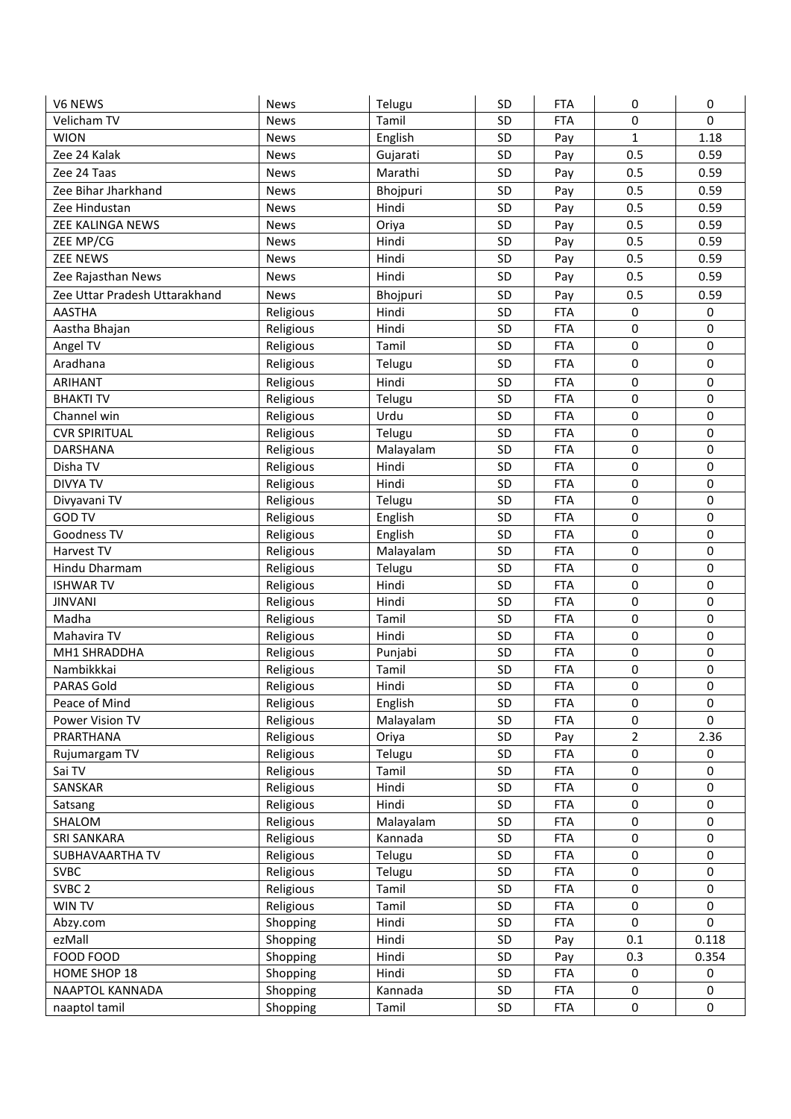| V6 NEWS                       | <b>News</b> | Telugu    | SD | <b>FTA</b> | 0              | 0           |
|-------------------------------|-------------|-----------|----|------------|----------------|-------------|
| Velicham TV                   | <b>News</b> | Tamil     | SD | <b>FTA</b> | 0              | $\mathbf 0$ |
| <b>WION</b>                   | <b>News</b> | English   | SD | Pay        | $\mathbf{1}$   | 1.18        |
| Zee 24 Kalak                  | <b>News</b> | Gujarati  | SD | Pay        | 0.5            | 0.59        |
| Zee 24 Taas                   | <b>News</b> | Marathi   | SD | Pay        | 0.5            | 0.59        |
| Zee Bihar Jharkhand           | <b>News</b> | Bhojpuri  | SD | Pay        | 0.5            | 0.59        |
| Zee Hindustan                 | <b>News</b> | Hindi     | SD | Pay        | 0.5            | 0.59        |
| ZEE KALINGA NEWS              | <b>News</b> | Oriya     | SD | Pay        | 0.5            | 0.59        |
| ZEE MP/CG                     | <b>News</b> | Hindi     | SD | Pay        | 0.5            | 0.59        |
| <b>ZEE NEWS</b>               | <b>News</b> | Hindi     | SD | Pay        | 0.5            | 0.59        |
| Zee Rajasthan News            | <b>News</b> | Hindi     | SD | Pay        | 0.5            | 0.59        |
| Zee Uttar Pradesh Uttarakhand | <b>News</b> | Bhojpuri  | SD | Pay        | 0.5            | 0.59        |
| <b>AASTHA</b>                 | Religious   | Hindi     | SD | <b>FTA</b> | 0              | 0           |
| Aastha Bhajan                 | Religious   | Hindi     | SD | <b>FTA</b> | 0              | $\mathbf 0$ |
| Angel TV                      | Religious   | Tamil     | SD | <b>FTA</b> | $\pmb{0}$      | $\pmb{0}$   |
| Aradhana                      |             |           | SD | <b>FTA</b> | 0              | $\mathbf 0$ |
|                               | Religious   | Telugu    |    |            |                |             |
| ARIHANT                       | Religious   | Hindi     | SD | <b>FTA</b> | $\mathbf 0$    | $\pmb{0}$   |
| <b>BHAKTI TV</b>              | Religious   | Telugu    | SD | <b>FTA</b> | 0              | $\mathbf 0$ |
| Channel win                   | Religious   | Urdu      | SD | <b>FTA</b> | 0              | $\pmb{0}$   |
| <b>CVR SPIRITUAL</b>          | Religious   | Telugu    | SD | <b>FTA</b> | 0              | $\mathbf 0$ |
| DARSHANA                      | Religious   | Malayalam | SD | <b>FTA</b> | $\mathbf 0$    | $\mathbf 0$ |
| Disha TV                      | Religious   | Hindi     | SD | <b>FTA</b> | $\mathbf 0$    | $\mathbf 0$ |
| <b>DIVYA TV</b>               | Religious   | Hindi     | SD | <b>FTA</b> | 0              | $\mathbf 0$ |
| Divyavani TV                  | Religious   | Telugu    | SD | <b>FTA</b> | $\mathbf 0$    | $\mathbf 0$ |
| <b>GOD TV</b>                 | Religious   | English   | SD | <b>FTA</b> | $\mathbf 0$    | $\mathbf 0$ |
| Goodness TV                   | Religious   | English   | SD | <b>FTA</b> | $\mathbf 0$    | $\mathbf 0$ |
| Harvest TV                    | Religious   | Malayalam | SD | <b>FTA</b> | 0              | $\mathbf 0$ |
| Hindu Dharmam                 | Religious   | Telugu    | SD | <b>FTA</b> | 0              | $\mathbf 0$ |
| <b>ISHWARTV</b>               | Religious   | Hindi     | SD | <b>FTA</b> | 0              | 0           |
| <b>JINVANI</b>                | Religious   | Hindi     | SD | <b>FTA</b> | 0              | $\mathbf 0$ |
| Madha                         | Religious   | Tamil     | SD | <b>FTA</b> | 0              | $\mathbf 0$ |
| Mahavira TV                   | Religious   | Hindi     | SD | <b>FTA</b> | 0              | $\mathbf 0$ |
| MH1 SHRADDHA                  | Religious   | Punjabi   | SD | <b>FTA</b> | 0              | $\pmb{0}$   |
| Nambikkkai                    | Religious   | Tamil     | SD | <b>FTA</b> | $\pmb{0}$      | $\pmb{0}$   |
| <b>PARAS Gold</b>             | Religious   | Hindi     | SD | <b>FTA</b> | $\mathbf 0$    | $\mathbf 0$ |
| Peace of Mind                 | Religious   | English   | SD | <b>FTA</b> | 0              | $\pmb{0}$   |
| Power Vision TV               | Religious   | Malayalam | SD | <b>FTA</b> | $\pmb{0}$      | $\Omega$    |
| PRARTHANA                     | Religious   | Oriya     | SD | Pay        | $\overline{2}$ | 2.36        |
| Rujumargam TV                 | Religious   | Telugu    | SD | <b>FTA</b> | $\pmb{0}$      | 0           |
| Sai TV                        | Religious   | Tamil     | SD | <b>FTA</b> | $\pmb{0}$      | $\pmb{0}$   |
| SANSKAR                       | Religious   | Hindi     | SD | <b>FTA</b> | $\pmb{0}$      | $\pmb{0}$   |
| Satsang                       | Religious   | Hindi     | SD | <b>FTA</b> | $\pmb{0}$      | $\pmb{0}$   |
| SHALOM                        | Religious   | Malayalam | SD | <b>FTA</b> | $\pmb{0}$      | $\pmb{0}$   |
| <b>SRI SANKARA</b>            | Religious   | Kannada   | SD | <b>FTA</b> | $\pmb{0}$      | $\pmb{0}$   |
| SUBHAVAARTHA TV               | Religious   | Telugu    | SD | <b>FTA</b> | $\pmb{0}$      | $\pmb{0}$   |
| <b>SVBC</b>                   | Religious   | Telugu    | SD | <b>FTA</b> | 0              | $\pmb{0}$   |
| SVBC <sub>2</sub>             | Religious   | Tamil     | SD | <b>FTA</b> | $\pmb{0}$      | $\mathbf 0$ |
| WIN TV                        | Religious   | Tamil     | SD | <b>FTA</b> | $\pmb{0}$      | $\mathbf 0$ |
| Abzy.com                      | Shopping    | Hindi     | SD | <b>FTA</b> | $\mathbf 0$    | $\mathbf 0$ |
| ezMall                        | Shopping    | Hindi     | SD | Pay        | 0.1            | 0.118       |
| FOOD FOOD                     | Shopping    | Hindi     | SD | Pay        | 0.3            | 0.354       |
| HOME SHOP 18                  | Shopping    | Hindi     | SD | <b>FTA</b> | 0              | 0           |
| NAAPTOL KANNADA               | Shopping    | Kannada   | SD | <b>FTA</b> | 0              | 0           |
| naaptol tamil                 | Shopping    | Tamil     | SD | <b>FTA</b> | 0              | 0           |